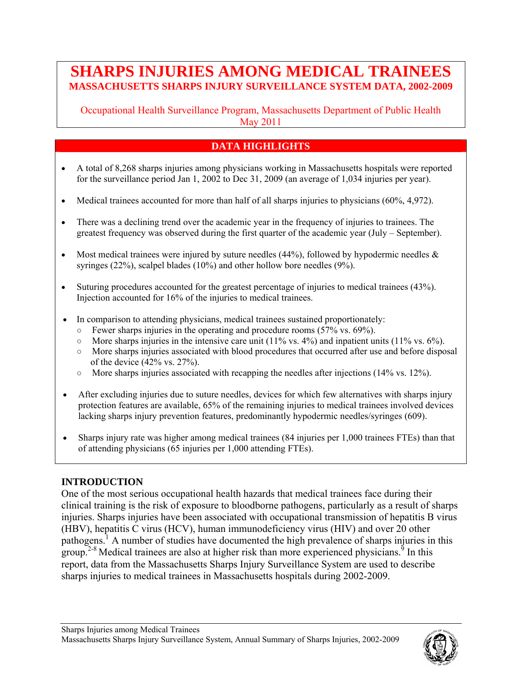# **SHARPS INJURIES AMONG MEDICAL TRAINEES MASSACHUSETTS SHARPS INJURY SURVEILLANCE SYSTEM DATA, 2002-2009**

Occupational Health Surveillance Program, Massachusetts Department of Public Health May 2011

## **DATA HIGHLIGHTS**

- A total of 8,268 sharps injuries among physicians working in Massachusetts hospitals were reported for the surveillance period Jan 1, 2002 to Dec 31, 2009 (an average of 1,034 injuries per year).
- Medical trainees accounted for more than half of all sharps injuries to physicians (60%, 4,972).
- There was a declining trend over the academic year in the frequency of injuries to trainees. The greatest frequency was observed during the first quarter of the academic year (July – September).
- Most medical trainees were injured by suture needles  $(44\%)$ , followed by hypodermic needles  $\&$ syringes (22%), scalpel blades (10%) and other hollow bore needles (9%).
- Suturing procedures accounted for the greatest percentage of injuries to medical trainees (43%). Injection accounted for 16% of the injuries to medical trainees.
- In comparison to attending physicians, medical trainees sustained proportionately:
	- $\degree$  Fewer sharps injuries in the operating and procedure rooms (57% vs. 69%).
	- $\circ$  More sharps injuries in the intensive care unit (11% vs. 4%) and inpatient units (11% vs. 6%).
	- More sharps injuries associated with blood procedures that occurred after use and before disposal of the device (42% vs. 27%).
	- $\circ$  More sharps injuries associated with recapping the needles after injections (14% vs. 12%).
- After excluding injuries due to suture needles, devices for which few alternatives with sharps injury protection features are available, 65% of the remaining injuries to medical trainees involved devices lacking sharps injury prevention features, predominantly hypodermic needles/syringes (609).
- Sharps injury rate was higher among medical trainees (84 injuries per 1,000 trainees FTEs) than that of attending physicians (65 injuries per 1,000 attending FTEs).

### **INTRODUCTION**

One of the most serious occupational health hazards that medical trainees face during their clinical training is the risk of exposure to bloodborne pathogens, particularly as a result of sharps injuries. Sharps injuries have been associated with occupational transmission of hepatitis B virus (HBV), hepatitis C virus (HCV), human immunodeficiency virus (HIV) and over 20 other pathogens.1 A number of studies have documented the high prevalence of sharps injuries in this group.<sup>2-8</sup> Medical trainees are also at higher risk than more experienced physicians.<sup>9</sup> In this report, data from the Massachusetts Sharps Injury Surveillance System are used to describe sharps injuries to medical trainees in Massachusetts hospitals during 2002-2009.

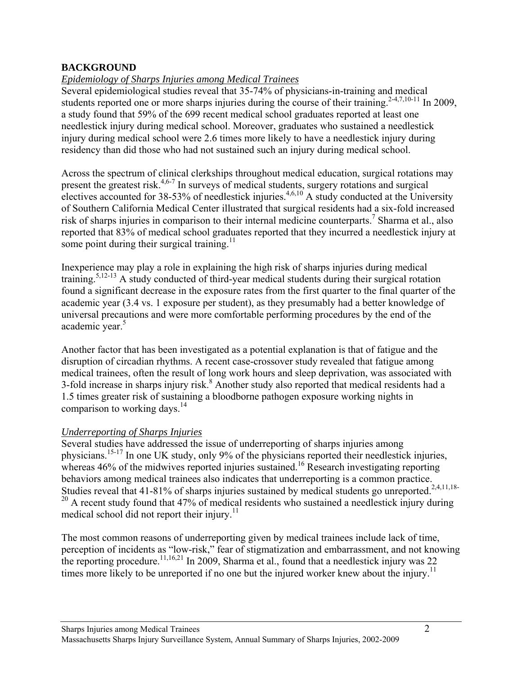### **BACKGROUND**

### *Epidemiology of Sharps Injuries among Medical Trainees*

Several epidemiological studies reveal that 35-74% of physicians-in-training and medical students reported one or more sharps injuries during the course of their training.<sup>2-4,7,10-11</sup> In 2009, a study found that 59% of the 699 recent medical school graduates reported at least one needlestick injury during medical school. Moreover, graduates who sustained a needlestick injury during medical school were 2.6 times more likely to have a needlestick injury during residency than did those who had not sustained such an injury during medical school.

Across the spectrum of clinical clerkships throughout medical education, surgical rotations may present the greatest risk.<sup>4,6-7</sup> In surveys of medical students, surgery rotations and surgical electives accounted for 38-53% of needlestick injuries.<sup>4,6,10</sup> A study conducted at the University of Southern California Medical Center illustrated that surgical residents had a six-fold increased risk of sharps injuries in comparison to their internal medicine counterparts.<sup>7</sup> Sharma et al., also reported that 83% of medical school graduates reported that they incurred a needlestick injury at some point during their surgical training.<sup>11</sup>

Inexperience may play a role in explaining the high risk of sharps injuries during medical training.5,12-13 A study conducted of third-year medical students during their surgical rotation found a significant decrease in the exposure rates from the first quarter to the final quarter of the academic year (3.4 vs. 1 exposure per student), as they presumably had a better knowledge of universal precautions and were more comfortable performing procedures by the end of the academic year.<sup>5</sup>

Another factor that has been investigated as a potential explanation is that of fatigue and the disruption of circadian rhythms. A recent case-crossover study revealed that fatigue among medical trainees, often the result of long work hours and sleep deprivation, was associated with 3-fold increase in sharps injury risk.<sup>8</sup> Another study also reported that medical residents had a 1.5 times greater risk of sustaining a bloodborne pathogen exposure working nights in comparison to working days.<sup>14</sup>

### *Underreporting of Sharps Injuries*

Several studies have addressed the issue of underreporting of sharps injuries among physicians.15-17 In one UK study, only 9% of the physicians reported their needlestick injuries, whereas  $46\%$  of the midwives reported injuries sustained.<sup>16</sup> Research investigating reporting behaviors among medical trainees also indicates that underreporting is a common practice. Studies reveal that  $41-81\%$  of sharps injuries sustained by medical students go unreported.<sup>2,4,11,18-</sup>  $20$  A recent study found that 47% of medical residents who sustained a needlestick injury during medical school did not report their injury.<sup>11</sup>

The most common reasons of underreporting given by medical trainees include lack of time, perception of incidents as "low-risk," fear of stigmatization and embarrassment, and not knowing the reporting procedure.<sup>11,16,21</sup> In 2009, Sharma et al., found that a needlestick injury was 22 times more likely to be unreported if no one but the injured worker knew about the injury.<sup>11</sup>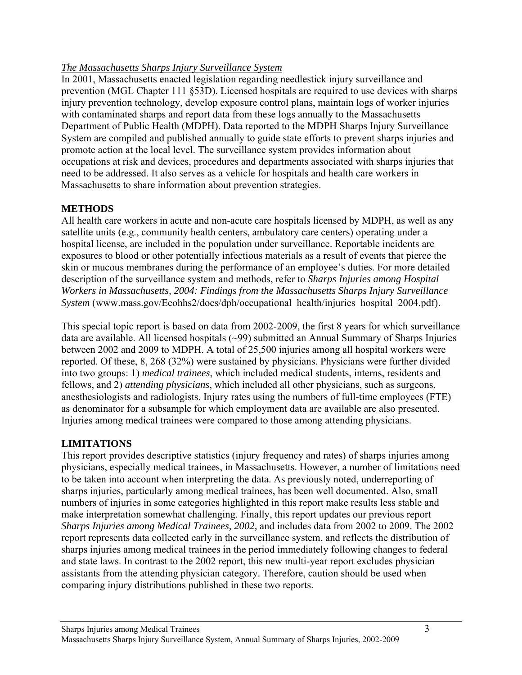### *The Massachusetts Sharps Injury Surveillance System*

In 2001, Massachusetts enacted legislation regarding needlestick injury surveillance and prevention (MGL Chapter 111 §53D). Licensed hospitals are required to use devices with sharps injury prevention technology, develop exposure control plans, maintain logs of worker injuries with contaminated sharps and report data from these logs annually to the Massachusetts Department of Public Health (MDPH). Data reported to the MDPH Sharps Injury Surveillance System are compiled and published annually to guide state efforts to prevent sharps injuries and promote action at the local level. The surveillance system provides information about occupations at risk and devices, procedures and departments associated with sharps injuries that need to be addressed. It also serves as a vehicle for hospitals and health care workers in Massachusetts to share information about prevention strategies.

## **METHODS**

All health care workers in acute and non-acute care hospitals licensed by MDPH, as well as any satellite units (e.g., community health centers, ambulatory care centers) operating under a hospital license, are included in the population under surveillance. Reportable incidents are exposures to blood or other potentially infectious materials as a result of events that pierce the skin or mucous membranes during the performance of an employee's duties. For more detailed description of the surveillance system and methods, refer to *Sharps Injuries among Hospital Workers in Massachusetts, 2004: Findings from the Massachusetts Sharps Injury Surveillance System* (www.mass.gov/Eeohhs2/docs/dph/occupational\_health/injuries\_hospital\_2004.pdf).

This special topic report is based on data from 2002-2009, the first 8 years for which surveillance data are available. All licensed hospitals (~99) submitted an Annual Summary of Sharps Injuries between 2002 and 2009 to MDPH. A total of 25,500 injuries among all hospital workers were reported. Of these, 8, 268 (32%) were sustained by physicians. Physicians were further divided into two groups: 1) *medical trainees*, which included medical students, interns, residents and fellows, and 2) *attending physicians*, which included all other physicians, such as surgeons, anesthesiologists and radiologists. Injury rates using the numbers of full-time employees (FTE) as denominator for a subsample for which employment data are available are also presented. Injuries among medical trainees were compared to those among attending physicians.

### **LIMITATIONS**

This report provides descriptive statistics (injury frequency and rates) of sharps injuries among physicians, especially medical trainees, in Massachusetts. However, a number of limitations need to be taken into account when interpreting the data. As previously noted, underreporting of sharps injuries, particularly among medical trainees, has been well documented. Also, small numbers of injuries in some categories highlighted in this report make results less stable and make interpretation somewhat challenging. Finally, this report updates our previous report *Sharps Injuries among Medical Trainees, 2002,* and includes data from 2002 to 2009. The 2002 report represents data collected early in the surveillance system, and reflects the distribution of sharps injuries among medical trainees in the period immediately following changes to federal and state laws. In contrast to the 2002 report, this new multi-year report excludes physician assistants from the attending physician category. Therefore, caution should be used when comparing injury distributions published in these two reports.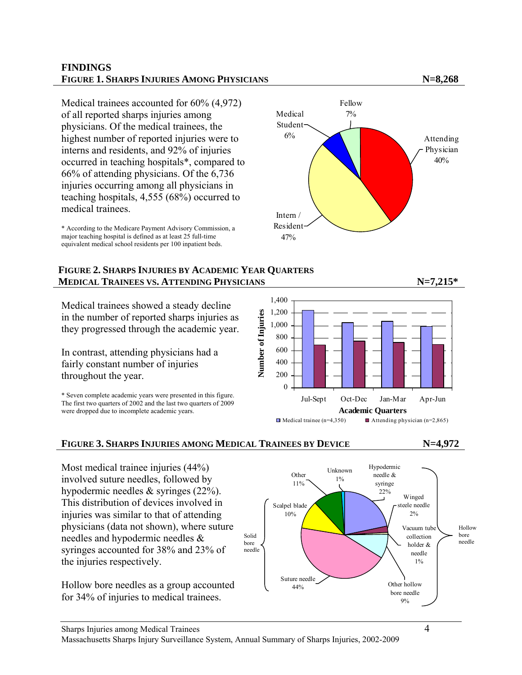#### **FINDINGS FIGURE 1. SHARPS INJURIES AMONG PHYSICIANS N=8,268**

Medical trainees accounted for 60% (4,972) of all reported sharps injuries among physicians. Of the medical trainees, the highest number of reported injuries were to interns and residents, and 92% of injuries occurred in teaching hospitals\*, compared to 66% of attending physicians. Of the 6,736 injuries occurring among all physicians in teaching hospitals, 4,555 (68%) occurred to medical trainees.

\* According to the Medicare Payment Advisory Commission, a major teaching hospital is defined as at least 25 full-time equivalent medical school residents per 100 inpatient beds.

#### **FIGURE 2. SHARPS INJURIES BY ACADEMIC YEAR QUARTERS MEDICAL TRAINEES VS. ATTENDING PHYSICIANS N=7,215\*** N=7,215\*

Medical trainees showed a steady decline in the number of reported sharps injuries as they progressed through the academic year.

In contrast, attending physicians had a fairly constant number of injuries throughout the year.

\* Seven complete academic years were presented in this figure. The first two quarters of 2002 and the last two quarters of 2009 were dropped due to incomplete academic years.





### **FIGURE 3. SHARPS INJURIES AMONG MEDICAL TRAINEES BY DEVICE N=4,972**

Most medical trainee injuries (44%) involved suture needles, followed by hypodermic needles & syringes (22%). This distribution of devices involved in injuries was similar to that of attending physicians (data not shown), where suture needles and hypodermic needles & syringes accounted for 38% and 23% of the injuries respectively.

Hollow bore needles as a group accounted for 34% of injuries to medical trainees.





#### Sharps Injuries among Medical Trainees 4 Massachusetts Sharps Injury Surveillance System, Annual Summary of Sharps Injuries, 2002-2009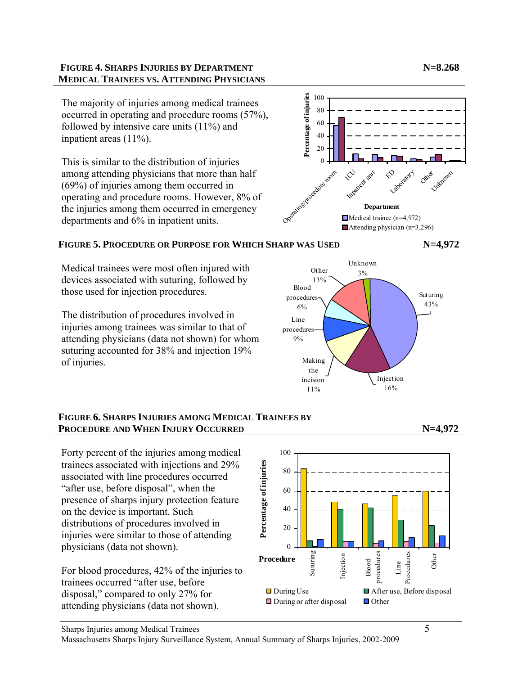### **FIGURE 4. SHARPS INJURIES BY DEPARTMENT NEXT AND SEXUAL STARFS IN NEXT AND NEXT AND NEXT AND NEXT AND NEXT AND SEXUAL STARFS IN NEXT AND NEXT AND INCOME. MEDICAL TRAINEES VS. ATTENDING PHYSICIANS**

The majority of injuries among medical trainees occurred in operating and procedure rooms (57%), followed by intensive care units (11%) and inpatient areas (11%).

This is similar to the distribution of injuries among attending physicians that more than half (69%) of injuries among them occurred in operating and procedure rooms. However, 8% of the injuries among them occurred in emergency departments and 6% in inpatient units.



## **FIGURE 5. PROCEDURE OR PURPOSE FOR WHICH SHARP WAS USED N=4,972**

Medical trainees were most often injured with devices associated with suturing, followed by those used for injection procedures.

The distribution of procedures involved in injuries among trainees was similar to that of attending physicians (data not shown) for whom suturing accounted for 38% and injection 19% of injuries.



### **FIGURE 6. SHARPS INJURIES AMONG MEDICAL TRAINEES BY PROCEDURE AND WHEN INJURY OCCURRED N=4,972**

Forty percent of the injuries among medical trainees associated with injections and 29% associated with line procedures occurred "after use, before disposal", when the presence of sharps injury protection feature on the device is important. Such distributions of procedures involved in injuries were similar to those of attending physicians (data not shown).

For blood procedures, 42% of the injuries to trainees occurred "after use, before disposal," compared to only 27% for attending physicians (data not shown).



Massachusetts Sharps Injury Surveillance System, Annual Summary of Sharps Injuries, 2002-2009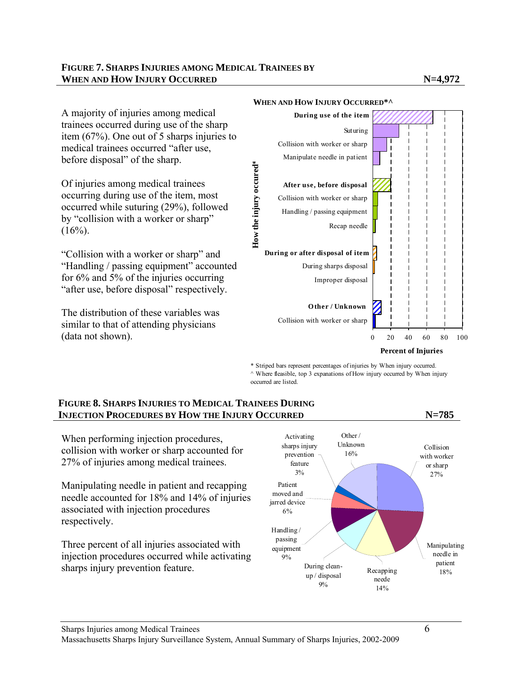

#### **WHEN AND HOW INJURY OCCURRED\*^**

\* Striped bars represent percentages of injuries by When injury occurred.  $\land$  Where fleasible, top 3 expanations of How injury occurred by When injury occurred are listed.

#### **FIGURE 8. SHARPS INJURIES TO MEDICAL TRAINEES DURING INJECTION PROCEDURES BY HOW THE INJURY OCCURRED N=785**

When performing injection procedures, collision with worker or sharp accounted for 27% of injuries among medical trainees.

Manipulating needle in patient and recapping needle accounted for 18% and 14% of injuries associated with injection procedures respectively.

Three percent of all injuries associated with injection procedures occurred while activating sharps injury prevention feature.

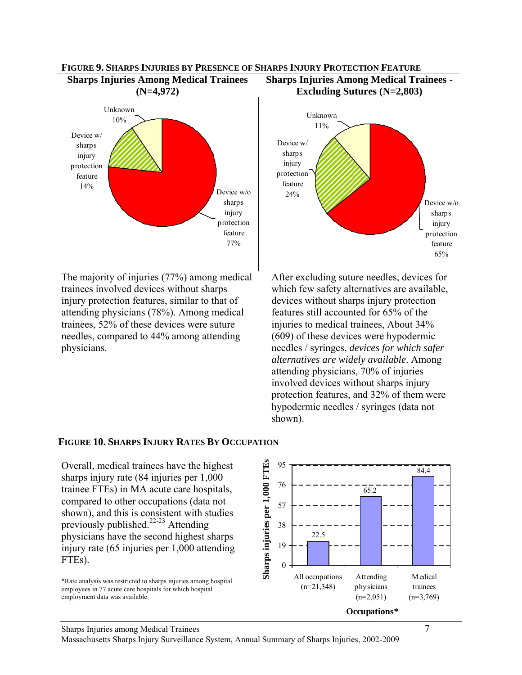

**FIGURE 9. SHARPS INJURIES BY PRESENCE OF SHARPS INJURY PROTECTION FEATURE** 

The majority of injuries (77%) among medical trainees involved devices without sharps injury protection features, similar to that of attending physicians (78%). Among medical trainees, 52% of these devices were suture needles, compared to 44% among attending physicians.



After excluding suture needles, devices for which few safety alternatives are available, devices without sharps injury protection features still accounted for 65% of the injuries to medical trainees, About 34% (609) of these devices were hypodermic needles / syringes, *devices for which safer alternatives are widely available*. Among attending physicians, 70% of injuries involved devices without sharps injury protection features, and 32% of them were hypodermic needles / syringes (data not shown).

#### **FIGURE 10. SHARPS INJURY RATES BY OCCUPATION**

Overall, medical trainees have the highest sharps injury rate (84 injuries per 1,000 trainee FTEs) in MA acute care hospitals, compared to other occupations (data not shown), and this is consistent with studies previously published.<sup>22-23</sup> Attending physicians have the second highest sharps injury rate (65 injuries per 1,000 attending FTEs).

\*Rate analysis was restricted to sharps injuries among hospital employees in 77 acute care hospitals for which hospital employment data was available.



Massachusetts Sharps Injury Surveillance System, Annual Summary of Sharps Injuries, 2002-2009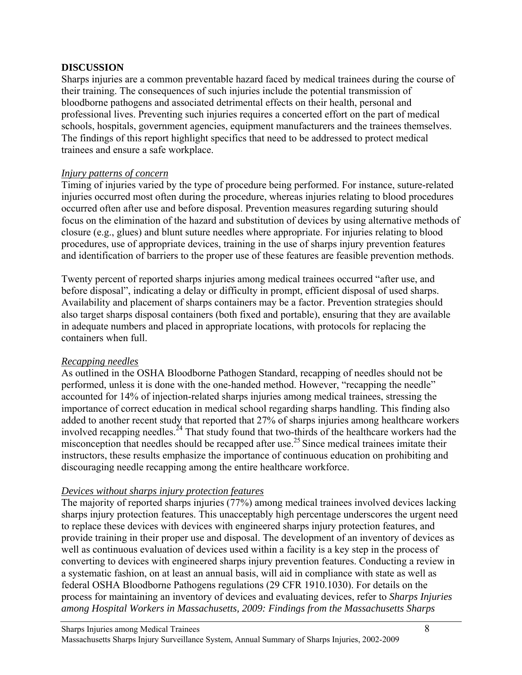### **DISCUSSION**

Sharps injuries are a common preventable hazard faced by medical trainees during the course of their training. The consequences of such injuries include the potential transmission of bloodborne pathogens and associated detrimental effects on their health, personal and professional lives. Preventing such injuries requires a concerted effort on the part of medical schools, hospitals, government agencies, equipment manufacturers and the trainees themselves. The findings of this report highlight specifics that need to be addressed to protect medical trainees and ensure a safe workplace.

#### *Injury patterns of concern*

Timing of injuries varied by the type of procedure being performed. For instance, suture-related injuries occurred most often during the procedure, whereas injuries relating to blood procedures occurred often after use and before disposal. Prevention measures regarding suturing should focus on the elimination of the hazard and substitution of devices by using alternative methods of closure (e.g., glues) and blunt suture needles where appropriate. For injuries relating to blood procedures, use of appropriate devices, training in the use of sharps injury prevention features and identification of barriers to the proper use of these features are feasible prevention methods.

Twenty percent of reported sharps injuries among medical trainees occurred "after use, and before disposal", indicating a delay or difficulty in prompt, efficient disposal of used sharps. Availability and placement of sharps containers may be a factor. Prevention strategies should also target sharps disposal containers (both fixed and portable), ensuring that they are available in adequate numbers and placed in appropriate locations, with protocols for replacing the containers when full.

### *Recapping needles*

As outlined in the OSHA Bloodborne Pathogen Standard, recapping of needles should not be performed, unless it is done with the one-handed method. However, "recapping the needle" accounted for 14% of injection-related sharps injuries among medical trainees, stressing the importance of correct education in medical school regarding sharps handling. This finding also added to another recent study that reported that 27% of sharps injuries among healthcare workers involved recapping needles.<sup>24</sup> That study found that two-thirds of the healthcare workers had the misconception that needles should be recapped after use.<sup>25</sup> Since medical trainees imitate their instructors, these results emphasize the importance of continuous education on prohibiting and discouraging needle recapping among the entire healthcare workforce.

### *Devices without sharps injury protection features*

The majority of reported sharps injuries (77%) among medical trainees involved devices lacking sharps injury protection features. This unacceptably high percentage underscores the urgent need to replace these devices with devices with engineered sharps injury protection features, and provide training in their proper use and disposal. The development of an inventory of devices as well as continuous evaluation of devices used within a facility is a key step in the process of converting to devices with engineered sharps injury prevention features. Conducting a review in a systematic fashion, on at least an annual basis, will aid in compliance with state as well as federal OSHA Bloodborne Pathogens regulations (29 CFR 1910.1030). For details on the process for maintaining an inventory of devices and evaluating devices, refer to *Sharps Injuries among Hospital Workers in Massachusetts, 2009: Findings from the Massachusetts Sharps*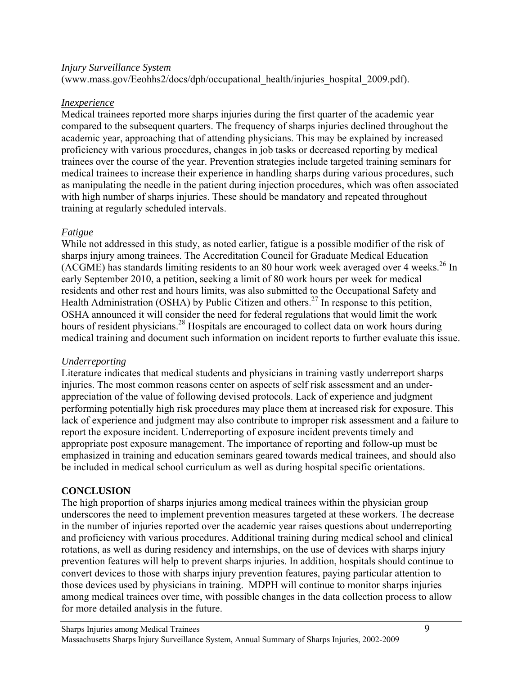#### *Injury Surveillance System*

(www.mass.gov/Eeohhs2/docs/dph/occupational\_health/injuries\_hospital\_2009.pdf).

#### *Inexperience*

Medical trainees reported more sharps injuries during the first quarter of the academic year compared to the subsequent quarters. The frequency of sharps injuries declined throughout the academic year, approaching that of attending physicians. This may be explained by increased proficiency with various procedures, changes in job tasks or decreased reporting by medical trainees over the course of the year. Prevention strategies include targeted training seminars for medical trainees to increase their experience in handling sharps during various procedures, such as manipulating the needle in the patient during injection procedures, which was often associated with high number of sharps injuries. These should be mandatory and repeated throughout training at regularly scheduled intervals.

### *Fatigue*

While not addressed in this study, as noted earlier, fatigue is a possible modifier of the risk of sharps injury among trainees. The Accreditation Council for Graduate Medical Education (ACGME) has standards limiting residents to an 80 hour work week averaged over 4 weeks.<sup>26</sup> In early September 2010, a petition, seeking a limit of 80 work hours per week for medical residents and other rest and hours limits, was also submitted to the Occupational Safety and Health Administration (OSHA) by Public Citizen and others.<sup>27</sup> In response to this petition, OSHA announced it will consider the need for federal regulations that would limit the work hours of resident physicians.<sup>28</sup> Hospitals are encouraged to collect data on work hours during medical training and document such information on incident reports to further evaluate this issue.

### *Underreporting*

Literature indicates that medical students and physicians in training vastly underreport sharps injuries. The most common reasons center on aspects of self risk assessment and an underappreciation of the value of following devised protocols. Lack of experience and judgment performing potentially high risk procedures may place them at increased risk for exposure. This lack of experience and judgment may also contribute to improper risk assessment and a failure to report the exposure incident. Underreporting of exposure incident prevents timely and appropriate post exposure management. The importance of reporting and follow-up must be emphasized in training and education seminars geared towards medical trainees, and should also be included in medical school curriculum as well as during hospital specific orientations.

### **CONCLUSION**

The high proportion of sharps injuries among medical trainees within the physician group underscores the need to implement prevention measures targeted at these workers. The decrease in the number of injuries reported over the academic year raises questions about underreporting and proficiency with various procedures. Additional training during medical school and clinical rotations, as well as during residency and internships, on the use of devices with sharps injury prevention features will help to prevent sharps injuries. In addition, hospitals should continue to convert devices to those with sharps injury prevention features, paying particular attention to those devices used by physicians in training. MDPH will continue to monitor sharps injuries among medical trainees over time, with possible changes in the data collection process to allow for more detailed analysis in the future.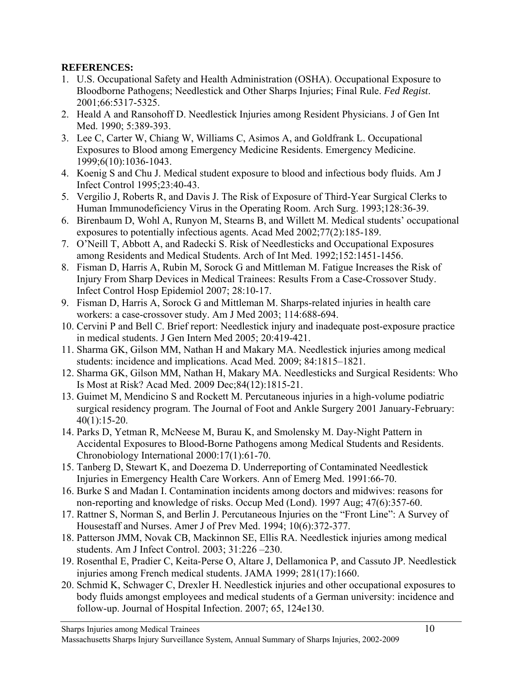### **REFERENCES:**

- 1. U.S. Occupational Safety and Health Administration (OSHA). Occupational Exposure to Bloodborne Pathogens; Needlestick and Other Sharps Injuries; Final Rule. *Fed Regist*. 2001;66:5317-5325.
- 2. Heald A and Ransohoff D. Needlestick Injuries among Resident Physicians. J of Gen Int Med. 1990; 5:389-393.
- 3. Lee C, Carter W, Chiang W, Williams C, Asimos A, and Goldfrank L. Occupational Exposures to Blood among Emergency Medicine Residents. Emergency Medicine. 1999;6(10):1036-1043.
- 4. Koenig S and Chu J. Medical student exposure to blood and infectious body fluids. Am J Infect Control 1995;23:40-43.
- 5. Vergilio J, Roberts R, and Davis J. The Risk of Exposure of Third-Year Surgical Clerks to Human Immunodeficiency Virus in the Operating Room. Arch Surg. 1993;128:36-39.
- 6. Birenbaum D, Wohl A, Runyon M, Stearns B, and Willett M. Medical students' occupational exposures to potentially infectious agents. Acad Med 2002;77(2):185-189.
- 7. O'Neill T, Abbott A, and Radecki S. Risk of Needlesticks and Occupational Exposures among Residents and Medical Students. Arch of Int Med. 1992;152:1451-1456.
- 8. Fisman D, Harris A, Rubin M, Sorock G and Mittleman M. Fatigue Increases the Risk of Injury From Sharp Devices in Medical Trainees: Results From a Case-Crossover Study. Infect Control Hosp Epidemiol 2007; 28:10-17.
- 9. Fisman D, Harris A, Sorock G and Mittleman M. Sharps-related injuries in health care workers: a case-crossover study. Am J Med 2003; 114:688-694.
- 10. Cervini P and Bell C. Brief report: Needlestick injury and inadequate post-exposure practice in medical students. J Gen Intern Med 2005; 20:419-421.
- 11. Sharma GK, Gilson MM, Nathan H and Makary MA. Needlestick injuries among medical students: incidence and implications. Acad Med. 2009; 84:1815–1821.
- 12. Sharma GK, Gilson MM, Nathan H, Makary MA. Needlesticks and Surgical Residents: Who Is Most at Risk? Acad Med. 2009 Dec;84(12):1815-21.
- 13. Guimet M, Mendicino S and Rockett M. Percutaneous injuries in a high-volume podiatric surgical residency program. The Journal of Foot and Ankle Surgery 2001 January-February: 40(1):15-20.
- 14. Parks D, Yetman R, McNeese M, Burau K, and Smolensky M. Day-Night Pattern in Accidental Exposures to Blood-Borne Pathogens among Medical Students and Residents. Chronobiology International 2000:17(1):61-70.
- 15. Tanberg D, Stewart K, and Doezema D. Underreporting of Contaminated Needlestick Injuries in Emergency Health Care Workers. Ann of Emerg Med. 1991:66-70.
- 16. Burke S and Madan I. Contamination incidents among doctors and midwives: reasons for non-reporting and knowledge of risks. Occup Med (Lond). 1997 Aug; 47(6):357-60.
- 17. Rattner S, Norman S, and Berlin J. Percutaneous Injuries on the "Front Line": A Survey of Housestaff and Nurses. Amer J of Prev Med. 1994; 10(6):372-377.
- 18. Patterson JMM, Novak CB, Mackinnon SE, Ellis RA. Needlestick injuries among medical students. Am J Infect Control. 2003; 31:226 –230.
- 19. Rosenthal E, Pradier C, Keita-Perse O, Altare J, Dellamonica P, and Cassuto JP. Needlestick injuries among French medical students. JAMA 1999; 281(17):1660.
- 20. Schmid K, Schwager C, Drexler H. Needlestick injuries and other occupational exposures to body fluids amongst employees and medical students of a German university: incidence and follow-up. Journal of Hospital Infection. 2007; 65, 124e130.